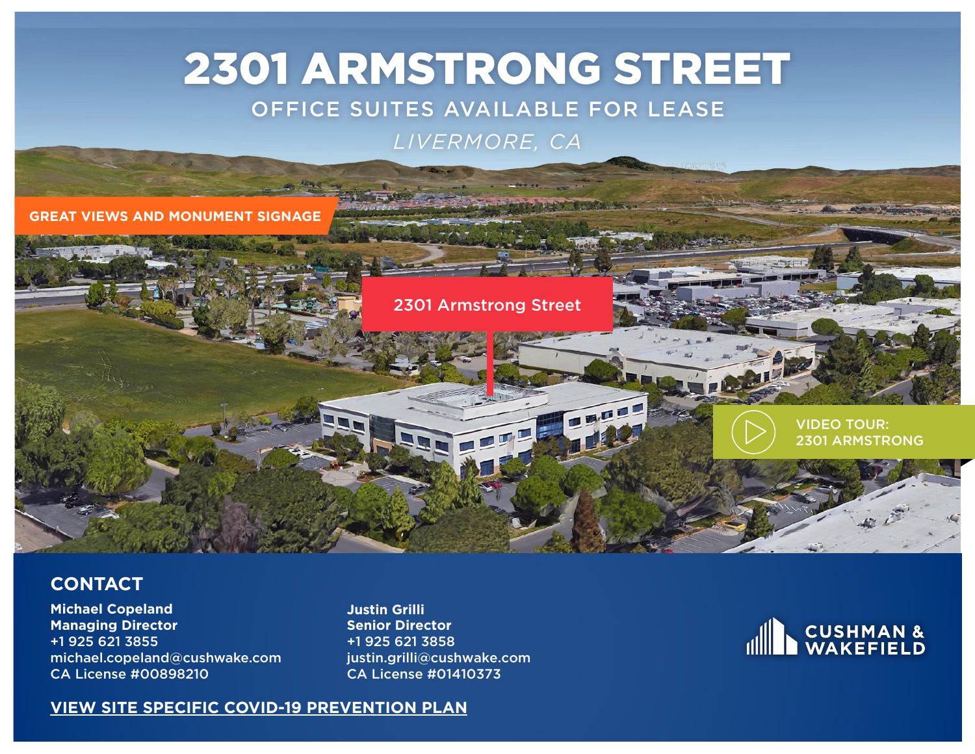# 2301 ARMSTRONG STREET

### OFFICE SUITES AVAILABLE FOR LEASE

### *LIVERMORE, CA*

**GREAT VIEWS AND MONUMENT SIGNAGE**



#### **CONTACT**

**Michael Copeland Managing Director** +1 925 621 3855 michael.copeland@cushwake.com CA License #00898210

**Justin Grilli Senior Director** +1 925 621 3858 justin.grilli@cushwake.com CA License #01410373



#### **[VIEW SITE SPECIFIC COVID-19 PREVENTION PLAN](http://www.cushwakebayarea.com/covid/Site_Specific_COVID-19_Prevention_Plan.pdf)**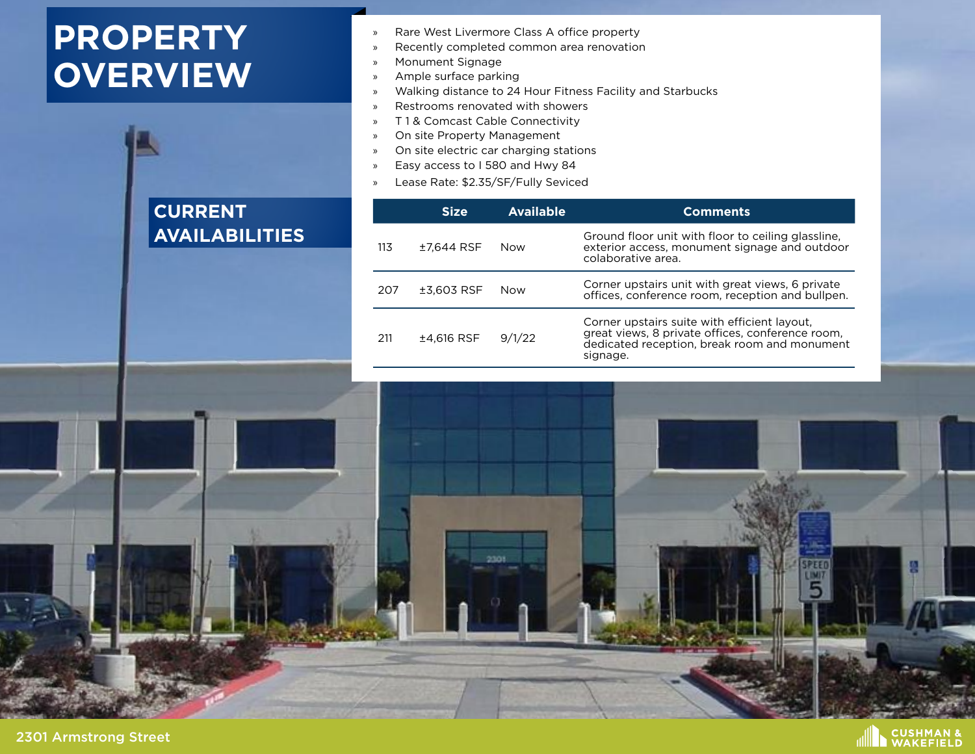# **PROPERTY OVERVIEW**

### **CURRENT AVAILABILITIES**

- » Rare West Livermore Class A office property
- » Recently completed common area renovation
- » Monument Signage
- » Ample surface parking
- » Walking distance to 24 Hour Fitness Facility and Starbucks
- » Restrooms renovated with showers
- » T 1 & Comcast Cable Connectivity
- » On site Property Management
- » On site electric car charging stations
- » Easy access to I 580 and Hwy 84
- » Lease Rate: \$2.35/SF/Fully Seviced

|     | <b>Size</b> | <b>Available</b> | <b>Comments</b>                                                                                                                                              |
|-----|-------------|------------------|--------------------------------------------------------------------------------------------------------------------------------------------------------------|
| 113 | ±7.644 RSF  | Now              | Ground floor unit with floor to ceiling glassline,<br>exterior access, monument signage and outdoor<br>colaborative area.                                    |
| 207 | ±3.603 RSF  | Now              | Corner upstairs unit with great views, 6 private<br>offices, conference room, reception and bullpen.                                                         |
| 211 | ±4,616 RSF  | 9/1/22           | Corner upstairs suite with efficient layout,<br>great views, 8 private offices, conference room,<br>dedicated reception, break room and monument<br>signage. |

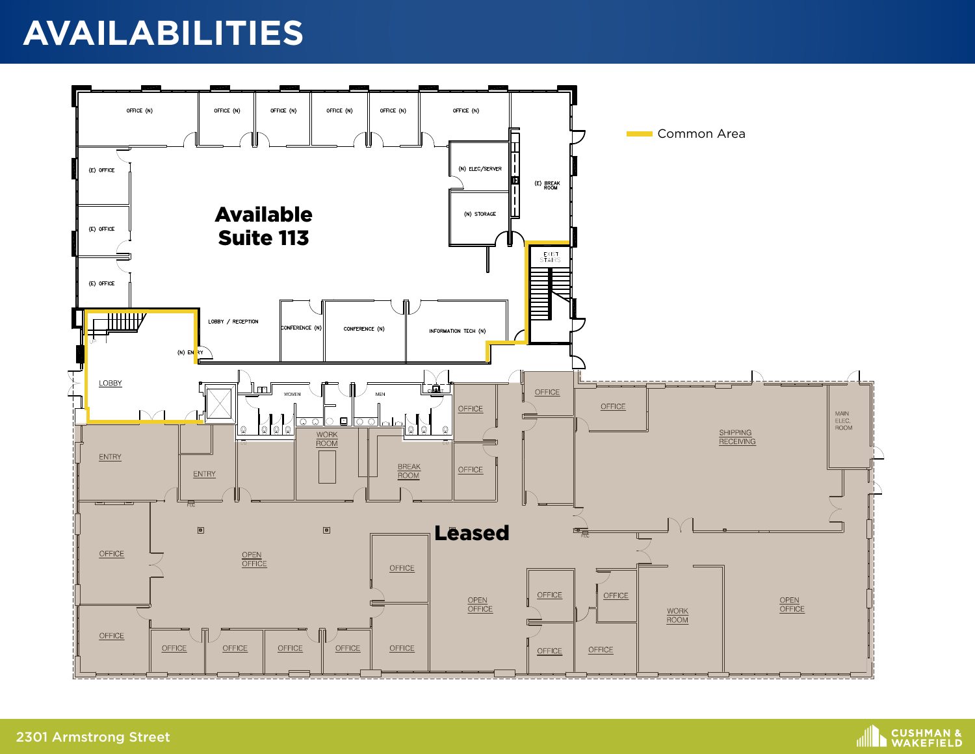# **AVAILABILITIES**



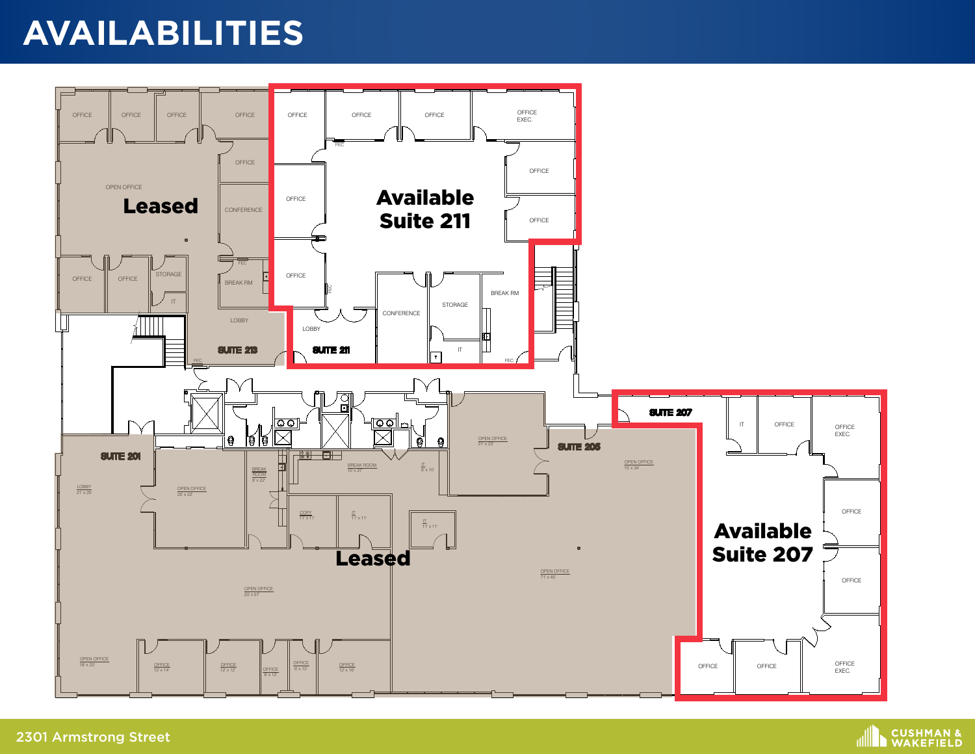# **AVAILABILITIES**